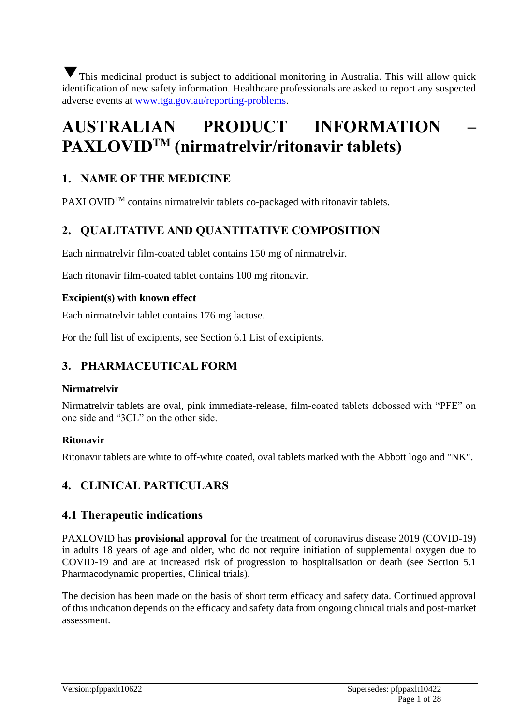This medicinal product is subject to additional monitoring in Australia. This will allow quick identification of new safety information. Healthcare professionals are asked to report any suspected adverse events at [www.tga.gov.au/reporting-problems.](http://www.tga.gov.au/reporting-problems)

# **AUSTRALIAN PRODUCT INFORMATION – PAXLOVIDTM (nirmatrelvir/ritonavir tablets)**

# **1. NAME OF THE MEDICINE**

PAXLOVID<sup>TM</sup> contains nirmatrelvir tablets co-packaged with ritonavir tablets.

# **2. QUALITATIVE AND QUANTITATIVE COMPOSITION**

Each nirmatrelvir film-coated tablet contains 150 mg of nirmatrelvir.

Each ritonavir film-coated tablet contains 100 mg ritonavir.

# **Excipient(s) with known effect**

Each nirmatrelvir tablet contains 176 mg lactose.

For the full list of excipients, see Section 6.1 List of excipients.

# **3. PHARMACEUTICAL FORM**

# **Nirmatrelvir**

Nirmatrelvir tablets are oval, pink immediate-release, film-coated tablets debossed with "PFE" on one side and "3CL" on the other side.

# **Ritonavir**

Ritonavir tablets are white to off-white coated, oval tablets marked with the Abbott logo and "NK".

# **4. CLINICAL PARTICULARS**

# **4.1 Therapeutic indications**

PAXLOVID has **provisional approval** for the treatment of coronavirus disease 2019 (COVID-19) in adults 18 years of age and older, who do not require initiation of supplemental oxygen due to COVID-19 and are at increased risk of progression to hospitalisation or death (see Section 5.1 Pharmacodynamic properties, Clinical trials).

The decision has been made on the basis of short term efficacy and safety data. Continued approval of this indication depends on the efficacy and safety data from ongoing clinical trials and post-market assessment.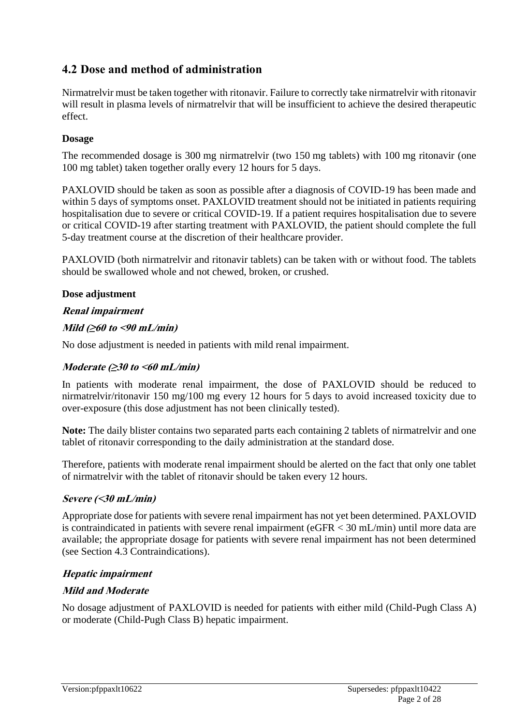# **4.2 Dose and method of administration**

Nirmatrelvir must be taken together with ritonavir. Failure to correctly take nirmatrelvir with ritonavir will result in plasma levels of nirmatrelvir that will be insufficient to achieve the desired therapeutic effect.

### **Dosage**

The recommended dosage is 300 mg nirmatrelvir (two 150 mg tablets) with 100 mg ritonavir (one 100 mg tablet) taken together orally every 12 hours for 5 days.

PAXLOVID should be taken as soon as possible after a diagnosis of COVID-19 has been made and within 5 days of symptoms onset. PAXLOVID treatment should not be initiated in patients requiring hospitalisation due to severe or critical COVID-19. If a patient requires hospitalisation due to severe or critical COVID-19 after starting treatment with PAXLOVID, the patient should complete the full 5-day treatment course at the discretion of their healthcare provider.

PAXLOVID (both nirmatrelvir and ritonavir tablets) can be taken with or without food. The tablets should be swallowed whole and not chewed, broken, or crushed.

### **Dose adjustment**

### **Renal impairment**

### **Mild (≥60 to <90 mL/min)**

No dose adjustment is needed in patients with mild renal impairment.

#### **Moderate (≥30 to <60 mL/min)**

In patients with moderate renal impairment, the dose of PAXLOVID should be reduced to nirmatrelvir/ritonavir 150 mg/100 mg every 12 hours for 5 days to avoid increased toxicity due to over-exposure (this dose adjustment has not been clinically tested).

**Note:** The daily blister contains two separated parts each containing 2 tablets of nirmatrelvir and one tablet of ritonavir corresponding to the daily administration at the standard dose.

Therefore, patients with moderate renal impairment should be alerted on the fact that only one tablet of nirmatrelvir with the tablet of ritonavir should be taken every 12 hours.

#### **Severe (<30 mL/min)**

Appropriate dose for patients with severe renal impairment has not yet been determined. PAXLOVID is contraindicated in patients with severe renal impairment (eGFR < 30 mL/min) until more data are available; the appropriate dosage for patients with severe renal impairment has not been determined (see Section 4.3 Contraindications).

# **Hepatic impairment**

# **Mild and Moderate**

No dosage adjustment of PAXLOVID is needed for patients with either mild (Child-Pugh Class A) or moderate (Child-Pugh Class B) hepatic impairment.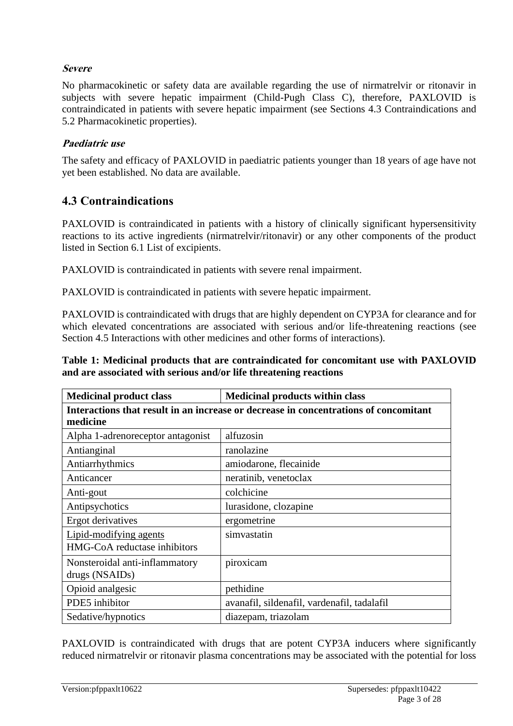### **Severe**

No pharmacokinetic or safety data are available regarding the use of nirmatrelvir or ritonavir in subjects with severe hepatic impairment (Child-Pugh Class C), therefore, PAXLOVID is contraindicated in patients with severe hepatic impairment (see Sections 4.3 Contraindications and 5.2 Pharmacokinetic properties).

#### **Paediatric use**

The safety and efficacy of PAXLOVID in paediatric patients younger than 18 years of age have not yet been established. No data are available.

# **4.3 Contraindications**

PAXLOVID is contraindicated in patients with a history of clinically significant hypersensitivity reactions to its active ingredients (nirmatrelvir/ritonavir) or any other components of the product listed in Section 6.1 List of excipients.

PAXLOVID is contraindicated in patients with severe renal impairment.

PAXLOVID is contraindicated in patients with severe hepatic impairment.

PAXLOVID is contraindicated with drugs that are highly dependent on CYP3A for clearance and for which elevated concentrations are associated with serious and/or life-threatening reactions (see Section 4.5 Interactions with other medicines and other forms of interactions).

**Table 1: Medicinal products that are contraindicated for concomitant use with PAXLOVID and are associated with serious and/or life threatening reactions**

| <b>Medicinal product class</b>                                                                   | <b>Medicinal products within class</b>      |  |  |  |
|--------------------------------------------------------------------------------------------------|---------------------------------------------|--|--|--|
| Interactions that result in an increase or decrease in concentrations of concomitant<br>medicine |                                             |  |  |  |
| Alpha 1-adrenoreceptor antagonist                                                                | alfuzosin                                   |  |  |  |
| Antianginal                                                                                      | ranolazine                                  |  |  |  |
| Antiarrhythmics                                                                                  | amiodarone, flecainide                      |  |  |  |
| Anticancer                                                                                       | neratinib, venetoclax                       |  |  |  |
| Anti-gout                                                                                        | colchicine                                  |  |  |  |
| Antipsychotics                                                                                   | lurasidone, clozapine                       |  |  |  |
| Ergot derivatives                                                                                | ergometrine                                 |  |  |  |
| Lipid-modifying agents                                                                           | simvastatin                                 |  |  |  |
| HMG-CoA reductase inhibitors                                                                     |                                             |  |  |  |
| Nonsteroidal anti-inflammatory<br>drugs (NSAIDs)                                                 | piroxicam                                   |  |  |  |
| Opioid analgesic                                                                                 | pethidine                                   |  |  |  |
| PDE5 inhibitor                                                                                   | avanafil, sildenafil, vardenafil, tadalafil |  |  |  |
| Sedative/hypnotics                                                                               | diazepam, triazolam                         |  |  |  |

PAXLOVID is contraindicated with drugs that are potent CYP3A inducers where significantly reduced nirmatrelvir or ritonavir plasma concentrations may be associated with the potential for loss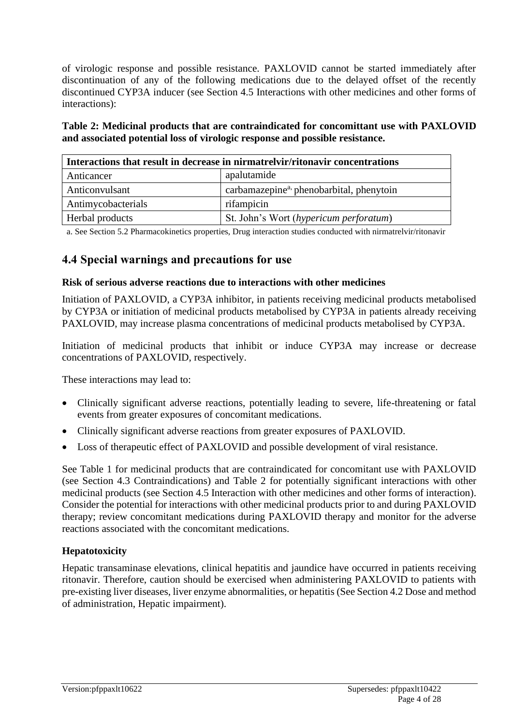of virologic response and possible resistance. PAXLOVID cannot be started immediately after discontinuation of any of the following medications due to the delayed offset of the recently discontinued CYP3A inducer (see Section 4.5 Interactions with other medicines and other forms of interactions):

**Table 2: Medicinal products that are contraindicated for concomittant use with PAXLOVID and associated potential loss of virologic response and possible resistance.**

| Interactions that result in decrease in nirmatrelyir/ritonavir concentrations |                                                      |  |  |
|-------------------------------------------------------------------------------|------------------------------------------------------|--|--|
| Anticancer                                                                    | apalutamide                                          |  |  |
| Anticonvulsant                                                                | carbamazepine <sup>a,</sup> phenobarbital, phenytoin |  |  |
| Antimycobacterials                                                            | rifampicin                                           |  |  |
| Herbal products                                                               | St. John's Wort (hypericum perforatum)               |  |  |

a. See Section 5.2 Pharmacokinetics properties, Drug interaction studies conducted with nirmatrelvir/ritonavir

# **4.4 Special warnings and precautions for use**

#### **Risk of serious adverse reactions due to interactions with other medicines**

Initiation of PAXLOVID, a CYP3A inhibitor, in patients receiving medicinal products metabolised by CYP3A or initiation of medicinal products metabolised by CYP3A in patients already receiving PAXLOVID, may increase plasma concentrations of medicinal products metabolised by CYP3A.

Initiation of medicinal products that inhibit or induce CYP3A may increase or decrease concentrations of PAXLOVID, respectively.

These interactions may lead to:

- Clinically significant adverse reactions, potentially leading to severe, life-threatening or fatal events from greater exposures of concomitant medications.
- Clinically significant adverse reactions from greater exposures of PAXLOVID.
- Loss of therapeutic effect of PAXLOVID and possible development of viral resistance.

See Table 1 for medicinal products that are contraindicated for concomitant use with PAXLOVID (see Section 4.3 Contraindications) and Table 2 for potentially significant interactions with other medicinal products (see Section 4.5 Interaction with other medicines and other forms of interaction). Consider the potential for interactions with other medicinal products prior to and during PAXLOVID therapy; review concomitant medications during PAXLOVID therapy and monitor for the adverse reactions associated with the concomitant medications.

#### **Hepatotoxicity**

Hepatic transaminase elevations, clinical hepatitis and jaundice have occurred in patients receiving ritonavir. Therefore, caution should be exercised when administering PAXLOVID to patients with pre-existing liver diseases, liver enzyme abnormalities, or hepatitis (See Section 4.2 Dose and method of administration, Hepatic impairment).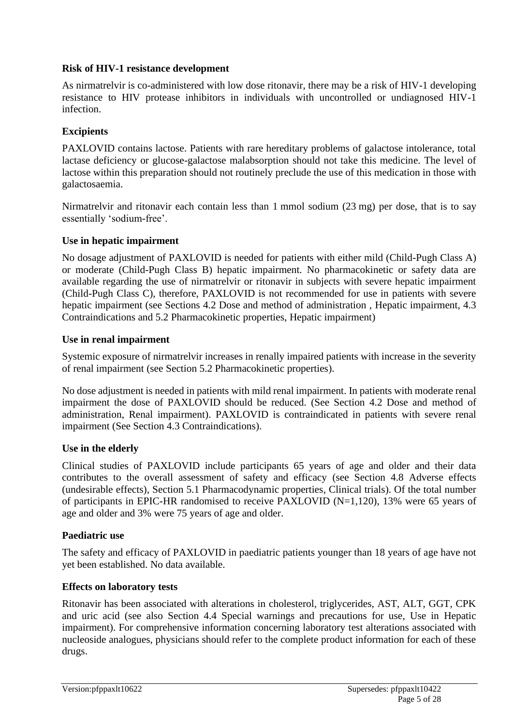#### **Risk of HIV-1 resistance development**

As nirmatrelvir is co-administered with low dose ritonavir, there may be a risk of HIV-1 developing resistance to HIV protease inhibitors in individuals with uncontrolled or undiagnosed HIV-1 infection.

### **Excipients**

PAXLOVID contains lactose. Patients with rare hereditary problems of galactose intolerance, total lactase deficiency or glucose-galactose malabsorption should not take this medicine. The level of lactose within this preparation should not routinely preclude the use of this medication in those with galactosaemia.

Nirmatrelvir and ritonavir each contain less than 1 mmol sodium (23 mg) per dose, that is to say essentially 'sodium-free'.

#### **Use in hepatic impairment**

No dosage adjustment of PAXLOVID is needed for patients with either mild (Child-Pugh Class A) or moderate (Child-Pugh Class B) hepatic impairment. No pharmacokinetic or safety data are available regarding the use of nirmatrelvir or ritonavir in subjects with severe hepatic impairment (Child-Pugh Class C), therefore, PAXLOVID is not recommended for use in patients with severe hepatic impairment (see Sections 4.2 Dose and method of administration , Hepatic impairment, 4.3 Contraindications and 5.2 Pharmacokinetic properties, Hepatic impairment)

#### **Use in renal impairment**

Systemic exposure of nirmatrelvir increases in renally impaired patients with increase in the severity of renal impairment (see Section 5.2 Pharmacokinetic properties).

No dose adjustment is needed in patients with mild renal impairment. In patients with moderate renal impairment the dose of PAXLOVID should be reduced. (See Section 4.2 Dose and method of administration, Renal impairment). PAXLOVID is contraindicated in patients with severe renal impairment (See Section 4.3 Contraindications).

#### **Use in the elderly**

Clinical studies of PAXLOVID include participants 65 years of age and older and their data contributes to the overall assessment of safety and efficacy (see Section 4.8 Adverse effects (undesirable effects), Section 5.1 Pharmacodynamic properties, Clinical trials). Of the total number of participants in EPIC-HR randomised to receive PAXLOVID (N=1,120), 13% were 65 years of age and older and 3% were 75 years of age and older.

#### **Paediatric use**

The safety and efficacy of PAXLOVID in paediatric patients younger than 18 years of age have not yet been established. No data available.

#### **Effects on laboratory tests**

Ritonavir has been associated with alterations in cholesterol, triglycerides, AST, ALT, GGT, CPK and uric acid (see also Section 4.4 Special warnings and precautions for use, Use in Hepatic impairment). For comprehensive information concerning laboratory test alterations associated with nucleoside analogues, physicians should refer to the complete product information for each of these drugs.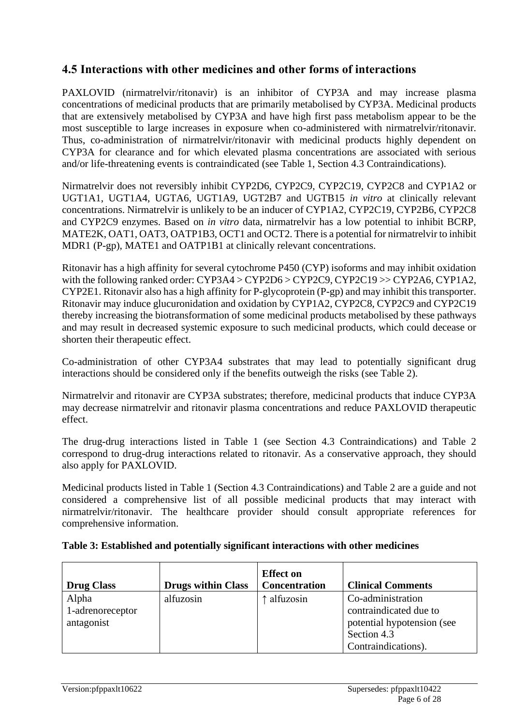# **4.5 Interactions with other medicines and other forms of interactions**

PAXLOVID (nirmatrelvir/ritonavir) is an inhibitor of CYP3A and may increase plasma concentrations of medicinal products that are primarily metabolised by CYP3A. Medicinal products that are extensively metabolised by CYP3A and have high first pass metabolism appear to be the most susceptible to large increases in exposure when co-administered with nirmatrelvir/ritonavir. Thus, co-administration of nirmatrelvir/ritonavir with medicinal products highly dependent on CYP3A for clearance and for which elevated plasma concentrations are associated with serious and/or life-threatening events is contraindicated (see Table 1, Section 4.3 Contraindications).

Nirmatrelvir does not reversibly inhibit CYP2D6, CYP2C9, CYP2C19, CYP2C8 and CYP1A2 or UGT1A1, UGT1A4, UGTA6, UGT1A9, UGT2B7 and UGTB15 *in vitro* at clinically relevant concentrations. Nirmatrelvir is unlikely to be an inducer of CYP1A2, CYP2C19, CYP2B6, CYP2C8 and CYP2C9 enzymes. Based on *in vitro* data, nirmatrelvir has a low potential to inhibit BCRP, MATE2K, OAT1, OAT3, OATP1B3, OCT1 and OCT2. There is a potential for nirmatrelvir to inhibit MDR1 (P-gp), MATE1 and OATP1B1 at clinically relevant concentrations.

Ritonavir has a high affinity for several cytochrome P450 (CYP) isoforms and may inhibit oxidation with the following ranked order: CYP3A4 > CYP2D6 > CYP2C9, CYP2C19 >> CYP2A6, CYP1A2, CYP2E1. Ritonavir also has a high affinity for P-glycoprotein (P-gp) and may inhibit this transporter. Ritonavir may induce glucuronidation and oxidation by CYP1A2, CYP2C8, CYP2C9 and CYP2C19 thereby increasing the biotransformation of some medicinal products metabolised by these pathways and may result in decreased systemic exposure to such medicinal products, which could decease or shorten their therapeutic effect.

Co-administration of other CYP3A4 substrates that may lead to potentially significant drug interactions should be considered only if the benefits outweigh the risks (see Table 2).

Nirmatrelvir and ritonavir are CYP3A substrates; therefore, medicinal products that induce CYP3A may decrease nirmatrelvir and ritonavir plasma concentrations and reduce PAXLOVID therapeutic effect.

The drug-drug interactions listed in Table 1 (see Section 4.3 Contraindications) and Table 2 correspond to drug-drug interactions related to ritonavir. As a conservative approach, they should also apply for PAXLOVID.

Medicinal products listed in Table 1 (Section 4.3 Contraindications) and Table 2 are a guide and not considered a comprehensive list of all possible medicinal products that may interact with nirmatrelvir/ritonavir. The healthcare provider should consult appropriate references for comprehensive information.

| <b>Drug Class</b>                       | <b>Drugs within Class</b> | <b>Effect</b> on<br>Concentration | <b>Clinical Comments</b>                                                                                        |
|-----------------------------------------|---------------------------|-----------------------------------|-----------------------------------------------------------------------------------------------------------------|
| Alpha<br>1-adrenoreceptor<br>antagonist | alfuzosin                 | ↑ alfuzosin                       | Co-administration<br>contraindicated due to<br>potential hypotension (see<br>Section 4.3<br>Contraindications). |

| Table 3: Established and potentially significant interactions with other medicines |  |  |  |
|------------------------------------------------------------------------------------|--|--|--|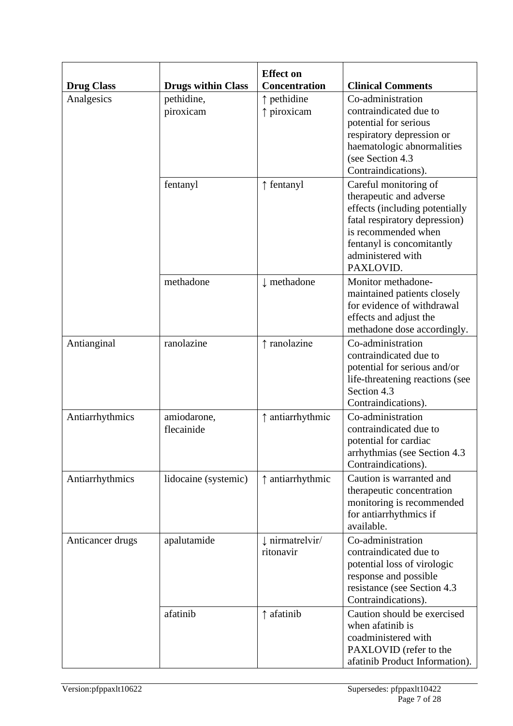| <b>Drug Class</b> | <b>Drugs within Class</b> | <b>Effect on</b><br><b>Concentration</b> | <b>Clinical Comments</b>                                                                                                                                                                                  |
|-------------------|---------------------------|------------------------------------------|-----------------------------------------------------------------------------------------------------------------------------------------------------------------------------------------------------------|
| Analgesics        | pethidine,<br>piroxicam   | $\uparrow$ pethidine<br>↑ piroxicam      | Co-administration<br>contraindicated due to<br>potential for serious<br>respiratory depression or<br>haematologic abnormalities<br>(see Section 4.3)<br>Contraindications).                               |
|                   | fentanyl                  | ↑ fentanyl                               | Careful monitoring of<br>therapeutic and adverse<br>effects (including potentially<br>fatal respiratory depression)<br>is recommended when<br>fentanyl is concomitantly<br>administered with<br>PAXLOVID. |
|                   | methadone                 | $\downarrow$ methadone                   | Monitor methadone-<br>maintained patients closely<br>for evidence of withdrawal<br>effects and adjust the<br>methadone dose accordingly.                                                                  |
| Antianginal       | ranolazine                | ↑ ranolazine                             | Co-administration<br>contraindicated due to<br>potential for serious and/or<br>life-threatening reactions (see<br>Section 4.3<br>Contraindications).                                                      |
| Antiarrhythmics   | amiodarone,<br>flecainide | ↑ antiarrhythmic                         | Co-administration<br>contraindicated due to<br>potential for cardiac<br>arrhythmias (see Section 4.3)<br>Contraindications).                                                                              |
| Antiarrhythmics   | lidocaine (systemic)      | $\uparrow$ antiarrhythmic                | Caution is warranted and<br>therapeutic concentration<br>monitoring is recommended<br>for antiarrhythmics if<br>available.                                                                                |
| Anticancer drugs  | apalutamide               | $\downarrow$ nirmatrelyir/<br>ritonavir  | Co-administration<br>contraindicated due to<br>potential loss of virologic<br>response and possible<br>resistance (see Section 4.3)<br>Contraindications).                                                |
|                   | afatinib                  | ↑ afatinib                               | Caution should be exercised<br>when afatinib is<br>coadministered with<br>PAXLOVID (refer to the<br>afatinib Product Information).                                                                        |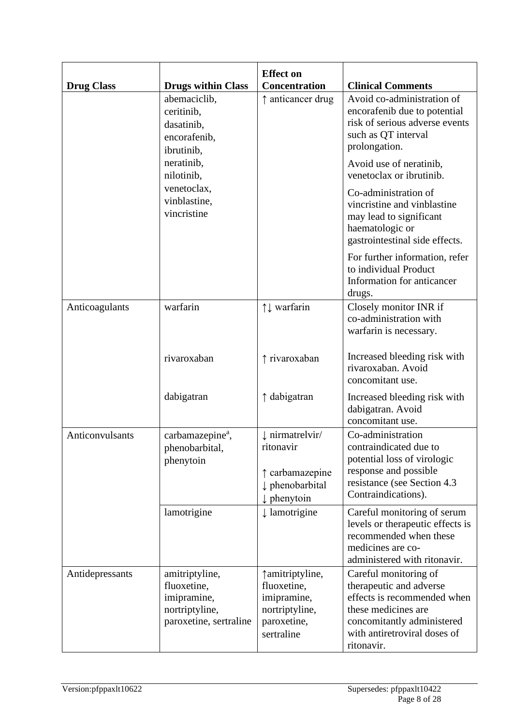| <b>Drug Class</b> | <b>Drugs within Class</b>                                                                | <b>Effect on</b><br><b>Concentration</b>                                                      | <b>Clinical Comments</b>                                                                                                                                                           |
|-------------------|------------------------------------------------------------------------------------------|-----------------------------------------------------------------------------------------------|------------------------------------------------------------------------------------------------------------------------------------------------------------------------------------|
|                   | abemaciclib,<br>ceritinib,<br>dasatinib,<br>encorafenib,<br>ibrutinib,                   | ↑ anticancer drug                                                                             | Avoid co-administration of<br>encorafenib due to potential<br>risk of serious adverse events<br>such as QT interval<br>prolongation.                                               |
|                   | neratinib,<br>nilotinib,                                                                 |                                                                                               | Avoid use of neratinib,<br>venetoclax or ibrutinib.                                                                                                                                |
|                   | venetoclax,<br>vinblastine,<br>vincristine                                               |                                                                                               | Co-administration of<br>vincristine and vinblastine<br>may lead to significant<br>haematologic or<br>gastrointestinal side effects.                                                |
|                   |                                                                                          |                                                                                               | For further information, refer<br>to individual Product<br>Information for anticancer<br>drugs.                                                                                    |
| Anticoagulants    | warfarin                                                                                 | ↑↓ warfarin                                                                                   | Closely monitor INR if<br>co-administration with<br>warfarin is necessary.                                                                                                         |
|                   | rivaroxaban                                                                              | ↑ rivaroxaban                                                                                 | Increased bleeding risk with<br>rivaroxaban. Avoid<br>concomitant use.                                                                                                             |
|                   | dabigatran                                                                               | ↑ dabigatran                                                                                  | Increased bleeding risk with<br>dabigatran. Avoid<br>concomitant use.                                                                                                              |
| Anticonvulsants   | carbamazepine <sup>a</sup> ,<br>phenobarbital,<br>phenytoin                              | I nirmatrelvir/<br>ritonavir<br>↑ carbamazepine<br>phenobarbital<br>$\downarrow$ phenytoin    | Co-administration<br>contraindicated due to<br>potential loss of virologic<br>response and possible<br>resistance (see Section 4.3)<br>Contraindications).                         |
|                   | lamotrigine                                                                              | $\downarrow$ lamotrigine                                                                      | Careful monitoring of serum<br>levels or therapeutic effects is<br>recommended when these<br>medicines are co-<br>administered with ritonavir.                                     |
| Antidepressants   | amitriptyline,<br>fluoxetine,<br>imipramine,<br>nortriptyline,<br>paroxetine, sertraline | ↑ amitriptyline,<br>fluoxetine,<br>imipramine,<br>nortriptyline,<br>paroxetine,<br>sertraline | Careful monitoring of<br>therapeutic and adverse<br>effects is recommended when<br>these medicines are<br>concomitantly administered<br>with antiretroviral doses of<br>ritonavir. |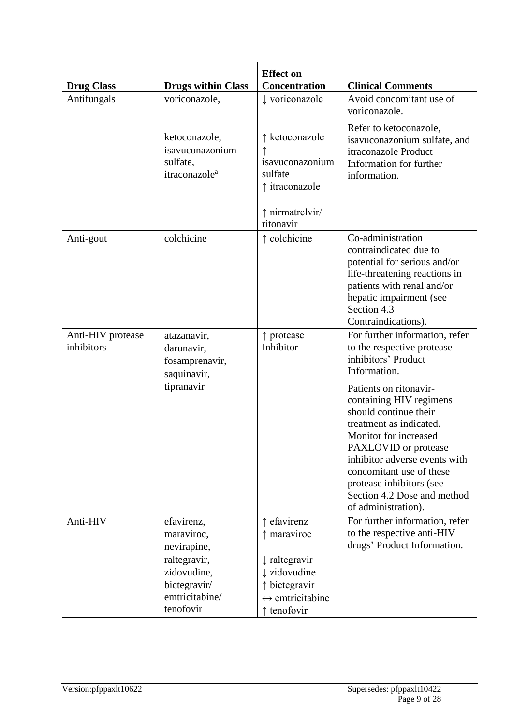| <b>Drug Class</b>               | <b>Drugs within Class</b>                                                                                             | <b>Effect on</b><br><b>Concentration</b>                                                                                                           | <b>Clinical Comments</b>                                                                                                                                                                                                                                                                                                                                                                                     |
|---------------------------------|-----------------------------------------------------------------------------------------------------------------------|----------------------------------------------------------------------------------------------------------------------------------------------------|--------------------------------------------------------------------------------------------------------------------------------------------------------------------------------------------------------------------------------------------------------------------------------------------------------------------------------------------------------------------------------------------------------------|
| Antifungals                     | voriconazole,                                                                                                         | voriconazole                                                                                                                                       | Avoid concomitant use of<br>voriconazole.                                                                                                                                                                                                                                                                                                                                                                    |
|                                 | ketoconazole,<br>isavuconazonium<br>sulfate,<br>itraconazole <sup>a</sup>                                             | ↑ ketoconazole<br>isavuconazonium<br>sulfate<br>↑ itraconazole<br>↑ nirmatrelvir/<br>ritonavir                                                     | Refer to ketoconazole,<br>isavuconazonium sulfate, and<br>itraconazole Product<br>Information for further<br>information.                                                                                                                                                                                                                                                                                    |
| Anti-gout                       | colchicine                                                                                                            | ↑ colchicine                                                                                                                                       | Co-administration<br>contraindicated due to<br>potential for serious and/or<br>life-threatening reactions in<br>patients with renal and/or<br>hepatic impairment (see<br>Section 4.3<br>Contraindications).                                                                                                                                                                                                  |
| Anti-HIV protease<br>inhibitors | atazanavir,<br>darunavir,<br>fosamprenavir,<br>saquinavir,<br>tipranavir                                              | ↑ protease<br>Inhibitor                                                                                                                            | For further information, refer<br>to the respective protease<br>inhibitors' Product<br>Information.<br>Patients on ritonavir-<br>containing HIV regimens<br>should continue their<br>treatment as indicated.<br>Monitor for increased<br>PAXLOVID or protease<br>inhibitor adverse events with<br>concomitant use of these<br>protease inhibitors (see<br>Section 4.2 Dose and method<br>of administration). |
| Anti-HIV                        | efavirenz,<br>maraviroc,<br>nevirapine,<br>raltegravir,<br>zidovudine,<br>bictegravir/<br>emtricitabine/<br>tenofovir | $\uparrow$ efavirenz<br>↑ maraviroc<br>$\downarrow$ raltegravir<br>I zidovudine<br>↑ bictegravir<br>$\leftrightarrow$ emtricitabine<br>↑ tenofovir | For further information, refer<br>to the respective anti-HIV<br>drugs' Product Information.                                                                                                                                                                                                                                                                                                                  |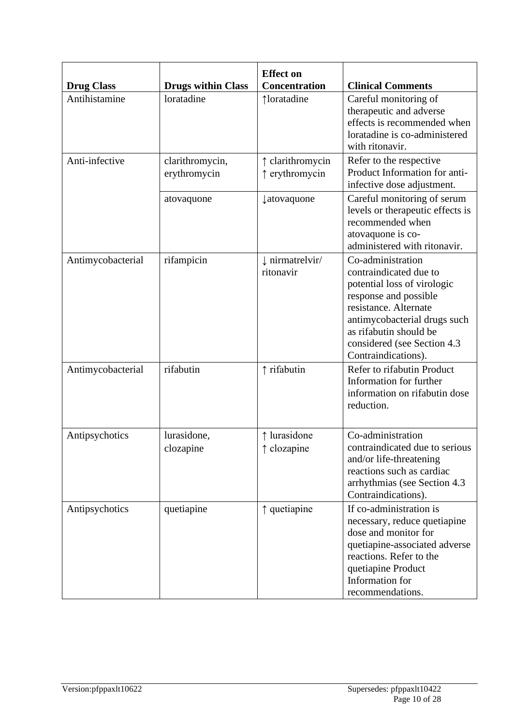| <b>Drug Class</b> | <b>Drugs within Class</b>       | <b>Effect on</b><br><b>Concentration</b> | <b>Clinical Comments</b>                                                                                                                                                                                                                      |
|-------------------|---------------------------------|------------------------------------------|-----------------------------------------------------------------------------------------------------------------------------------------------------------------------------------------------------------------------------------------------|
| Antihistamine     | loratadine                      | ↑loratadine                              | Careful monitoring of<br>therapeutic and adverse<br>effects is recommended when<br>loratadine is co-administered<br>with ritonavir.                                                                                                           |
| Anti-infective    | clarithromycin,<br>erythromycin | ↑ clarithromycin<br>↑ erythromycin       | Refer to the respective<br>Product Information for anti-<br>infective dose adjustment.                                                                                                                                                        |
|                   | atovaquone                      | <i><u><b>‡atovaquone</b></u></i>         | Careful monitoring of serum<br>levels or therapeutic effects is<br>recommended when<br>atovaquone is co-<br>administered with ritonavir.                                                                                                      |
| Antimycobacterial | rifampicin                      | uumatrelvir/<br>ritonavir                | Co-administration<br>contraindicated due to<br>potential loss of virologic<br>response and possible<br>resistance. Alternate<br>antimycobacterial drugs such<br>as rifabutin should be<br>considered (see Section 4.3)<br>Contraindications). |
| Antimycobacterial | rifabutin                       | ↑ rifabutin                              | Refer to rifabutin Product<br>Information for further<br>information on rifabutin dose<br>reduction.                                                                                                                                          |
| Antipsychotics    | lurasidone,<br>clozapine        | ↑ lurasidone<br>↑ clozapine              | Co-administration<br>contraindicated due to serious<br>and/or life-threatening<br>reactions such as cardiac<br>arrhythmias (see Section 4.3<br>Contraindications).                                                                            |
| Antipsychotics    | quetiapine                      | ↑ quetiapine                             | If co-administration is<br>necessary, reduce quetiapine<br>dose and monitor for<br>quetiapine-associated adverse<br>reactions. Refer to the<br>quetiapine Product<br>Information for<br>recommendations.                                      |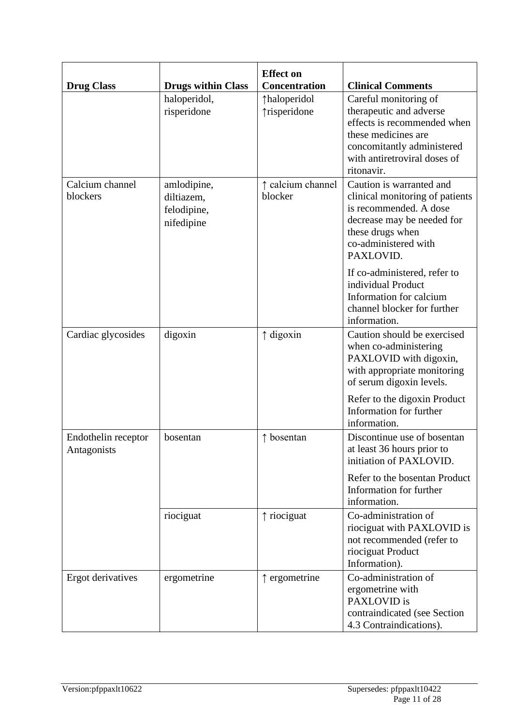| <b>Drug Class</b>                  | <b>Drugs within Class</b>                              | <b>Effect on</b><br>Concentration | <b>Clinical Comments</b>                                                                                                                                                           |
|------------------------------------|--------------------------------------------------------|-----------------------------------|------------------------------------------------------------------------------------------------------------------------------------------------------------------------------------|
|                                    | haloperidol,<br>risperidone                            | ↑haloperidol<br>↑risperidone      | Careful monitoring of<br>therapeutic and adverse<br>effects is recommended when<br>these medicines are<br>concomitantly administered<br>with antiretroviral doses of<br>ritonavir. |
| Calcium channel<br>blockers        | amlodipine,<br>diltiazem,<br>felodipine,<br>nifedipine | ↑ calcium channel<br>blocker      | Caution is warranted and<br>clinical monitoring of patients<br>is recommended. A dose<br>decrease may be needed for<br>these drugs when<br>co-administered with<br>PAXLOVID.       |
|                                    |                                                        |                                   | If co-administered, refer to<br>individual Product<br>Information for calcium<br>channel blocker for further<br>information.                                                       |
| Cardiac glycosides                 | digoxin                                                | ↑ digoxin                         | Caution should be exercised<br>when co-administering<br>PAXLOVID with digoxin,<br>with appropriate monitoring<br>of serum digoxin levels.                                          |
|                                    |                                                        |                                   | Refer to the digoxin Product<br>Information for further<br>information.                                                                                                            |
| Endothelin receptor<br>Antagonists | bosentan                                               | $\uparrow$ bosentan               | Discontinue use of bosentan<br>at least 36 hours prior to<br>initiation of PAXLOVID.                                                                                               |
|                                    |                                                        |                                   | Refer to the bosentan Product<br>Information for further<br>information.                                                                                                           |
|                                    | riociguat                                              | $\uparrow$ riociguat              | Co-administration of<br>riociguat with PAXLOVID is<br>not recommended (refer to<br>riociguat Product<br>Information).                                                              |
| Ergot derivatives                  | ergometrine                                            | $\uparrow$ ergometrine            | Co-administration of<br>ergometrine with<br>PAXLOVID is<br>contraindicated (see Section<br>4.3 Contraindications).                                                                 |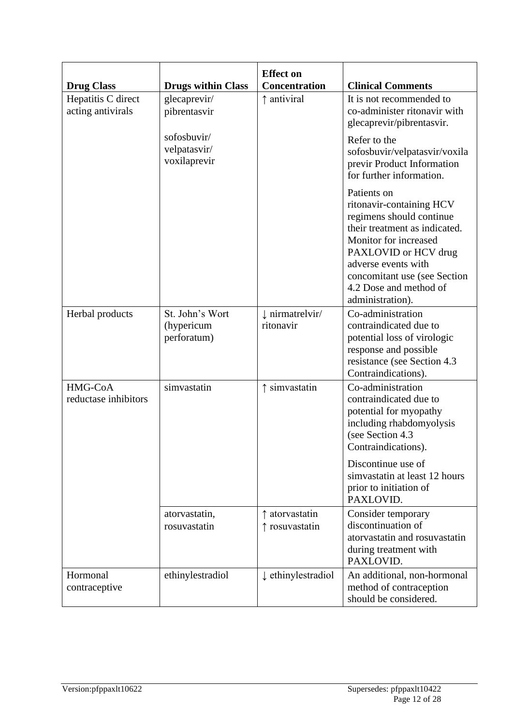|                                         |                                              | <b>Effect on</b>                        |                                                                                                                                                                                                                                                            |
|-----------------------------------------|----------------------------------------------|-----------------------------------------|------------------------------------------------------------------------------------------------------------------------------------------------------------------------------------------------------------------------------------------------------------|
| <b>Drug Class</b>                       | <b>Drugs within Class</b>                    | <b>Concentration</b>                    | <b>Clinical Comments</b>                                                                                                                                                                                                                                   |
| Hepatitis C direct<br>acting antivirals | glecaprevir/<br>pibrentasvir                 | ↑ antiviral                             | It is not recommended to<br>co-administer ritonavir with<br>glecaprevir/pibrentasvir.                                                                                                                                                                      |
|                                         | sofosbuvir/<br>velpatasvir/<br>voxilaprevir  |                                         | Refer to the<br>sofosbuvir/velpatasvir/voxila<br>previr Product Information<br>for further information.                                                                                                                                                    |
|                                         |                                              |                                         | Patients on<br>ritonavir-containing HCV<br>regimens should continue<br>their treatment as indicated.<br>Monitor for increased<br>PAXLOVID or HCV drug<br>adverse events with<br>concomitant use (see Section<br>4.2 Dose and method of<br>administration). |
| Herbal products                         | St. John's Wort<br>(hypericum<br>perforatum) | $\downarrow$ nirmatrelvir/<br>ritonavir | Co-administration<br>contraindicated due to<br>potential loss of virologic<br>response and possible<br>resistance (see Section 4.3)<br>Contraindications).                                                                                                 |
| HMG-CoA<br>reductase inhibitors         | simvastatin                                  | $\uparrow$ simvastatin                  | Co-administration<br>contraindicated due to<br>potential for myopathy<br>including rhabdomyolysis<br>(see Section 4.3)<br>Contraindications).<br>Discontinue use of<br>simvastatin at least 12 hours<br>prior to initiation of<br>PAXLOVID.                |
|                                         | atorvastatin,<br>rosuvastatin                | $\uparrow$ atorvastatin<br>rosuvastatin | Consider temporary<br>discontinuation of<br>atorvastatin and rosuvastatin<br>during treatment with<br>PAXLOVID.                                                                                                                                            |
| Hormonal<br>contraceptive               | ethinylestradiol                             | t ethinylestradiol                      | An additional, non-hormonal<br>method of contraception<br>should be considered.                                                                                                                                                                            |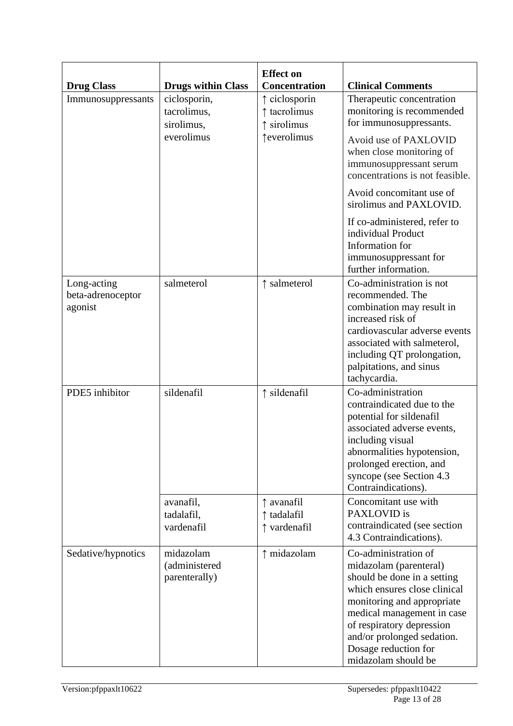| <b>Drug Class</b>                           | <b>Drugs within Class</b>                   | <b>Effect on</b><br><b>Concentration</b>  | <b>Clinical Comments</b>                                                                                                                                                                                                                                                            |
|---------------------------------------------|---------------------------------------------|-------------------------------------------|-------------------------------------------------------------------------------------------------------------------------------------------------------------------------------------------------------------------------------------------------------------------------------------|
| Immunosuppressants                          | ciclosporin,<br>tacrolimus,<br>sirolimus,   | ciclosporin<br>↑ tacrolimus<br>sirolimus  | Therapeutic concentration<br>monitoring is recommended<br>for immunosuppressants.                                                                                                                                                                                                   |
|                                             | everolimus                                  | <b>teverolimus</b>                        | Avoid use of PAXLOVID<br>when close monitoring of<br>immunosuppressant serum<br>concentrations is not feasible.                                                                                                                                                                     |
|                                             |                                             |                                           | Avoid concomitant use of<br>sirolimus and PAXLOVID.                                                                                                                                                                                                                                 |
|                                             |                                             |                                           | If co-administered, refer to<br>individual Product<br>Information for<br>immunosuppressant for<br>further information.                                                                                                                                                              |
| Long-acting<br>beta-adrenoceptor<br>agonist | salmeterol                                  | salmeterol                                | Co-administration is not<br>recommended. The<br>combination may result in<br>increased risk of<br>cardiovascular adverse events<br>associated with salmeterol,<br>including QT prolongation,<br>palpitations, and sinus<br>tachycardia.                                             |
| PDE5 inhibitor                              | sildenafil                                  | ↑ sildenafil                              | Co-administration<br>contraindicated due to the<br>potential for sildenafil<br>associated adverse events,<br>including visual<br>abnormalities hypotension,<br>prolonged erection, and<br>syncope (see Section 4.3)<br>Contraindications).                                          |
|                                             | avanafil,<br>tadalafil,<br>vardenafil       | ↑ avanafil<br>↑ tadalafil<br>↑ vardenafil | Concomitant use with<br>PAXLOVID is<br>contraindicated (see section<br>4.3 Contraindications).                                                                                                                                                                                      |
| Sedative/hypnotics                          | midazolam<br>(administered<br>parenterally) | ↑ midazolam                               | Co-administration of<br>midazolam (parenteral)<br>should be done in a setting<br>which ensures close clinical<br>monitoring and appropriate<br>medical management in case<br>of respiratory depression<br>and/or prolonged sedation.<br>Dosage reduction for<br>midazolam should be |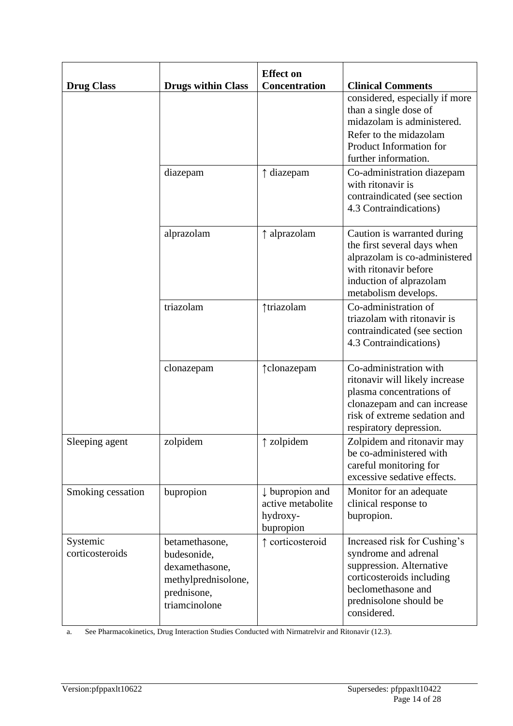| <b>Drug Class</b>           | <b>Drugs within Class</b>                                                                              | <b>Effect on</b><br>Concentration                                        | <b>Clinical Comments</b>                                                                                                                                                       |
|-----------------------------|--------------------------------------------------------------------------------------------------------|--------------------------------------------------------------------------|--------------------------------------------------------------------------------------------------------------------------------------------------------------------------------|
|                             |                                                                                                        |                                                                          | considered, especially if more<br>than a single dose of<br>midazolam is administered.<br>Refer to the midazolam<br>Product Information for<br>further information.             |
|                             | diazepam                                                                                               | ↑ diazepam                                                               | Co-administration diazepam<br>with ritonavir is<br>contraindicated (see section<br>4.3 Contraindications)                                                                      |
|                             | alprazolam                                                                                             | ↑ alprazolam                                                             | Caution is warranted during<br>the first several days when<br>alprazolam is co-administered<br>with ritonavir before<br>induction of alprazolam<br>metabolism develops.        |
|                             | triazolam                                                                                              | ↑triazolam                                                               | Co-administration of<br>triazolam with ritonavir is<br>contraindicated (see section<br>4.3 Contraindications)                                                                  |
|                             | clonazepam                                                                                             | ↑clonazepam                                                              | Co-administration with<br>ritonavir will likely increase<br>plasma concentrations of<br>clonazepam and can increase<br>risk of extreme sedation and<br>respiratory depression. |
| Sleeping agent              | zolpidem                                                                                               | $\uparrow$ zolpidem                                                      | Zolpidem and ritonavir may<br>be co-administered with<br>careful monitoring for<br>excessive sedative effects.                                                                 |
| Smoking cessation           | bupropion                                                                                              | $\downarrow$ bupropion and<br>active metabolite<br>hydroxy-<br>bupropion | Monitor for an adequate<br>clinical response to<br>bupropion.                                                                                                                  |
| Systemic<br>corticosteroids | betamethasone,<br>budesonide,<br>dexamethasone,<br>methylprednisolone,<br>prednisone,<br>triamcinolone | ↑ corticosteroid                                                         | Increased risk for Cushing's<br>syndrome and adrenal<br>suppression. Alternative<br>corticosteroids including<br>beclomethasone and<br>prednisolone should be<br>considered.   |

a. See Pharmacokinetics, Drug Interaction Studies Conducted with Nirmatrelvir and Ritonavir (12.3).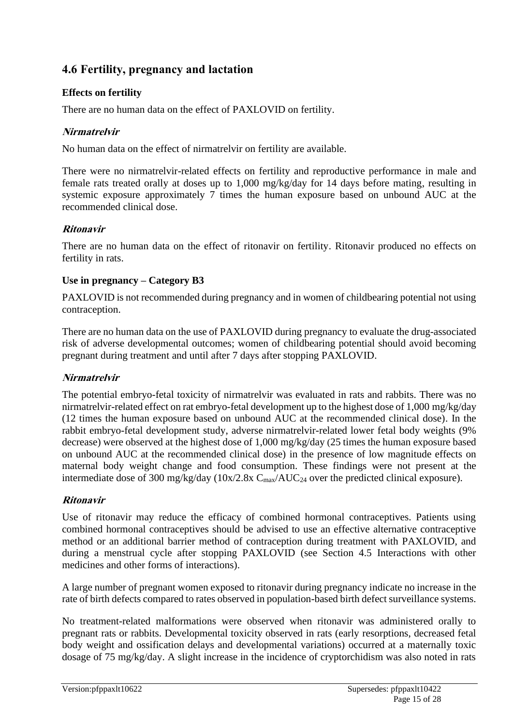# **4.6 Fertility, pregnancy and lactation**

# **Effects on fertility**

There are no human data on the effect of PAXLOVID on fertility.

# **Nirmatrelvir**

No human data on the effect of nirmatrelvir on fertility are available.

There were no nirmatrelvir-related effects on fertility and reproductive performance in male and female rats treated orally at doses up to 1,000 mg/kg/day for 14 days before mating, resulting in systemic exposure approximately 7 times the human exposure based on unbound AUC at the recommended clinical dose.

### **Ritonavir**

There are no human data on the effect of ritonavir on fertility. Ritonavir produced no effects on fertility in rats.

### **Use in pregnancy – Category B3**

PAXLOVID is not recommended during pregnancy and in women of childbearing potential not using contraception.

There are no human data on the use of PAXLOVID during pregnancy to evaluate the drug-associated risk of adverse developmental outcomes; women of childbearing potential should avoid becoming pregnant during treatment and until after 7 days after stopping PAXLOVID.

# **Nirmatrelvir**

The potential embryo-fetal toxicity of nirmatrelvir was evaluated in rats and rabbits. There was no nirmatrelvir-related effect on rat embryo-fetal development up to the highest dose of 1,000 mg/kg/day (12 times the human exposure based on unbound AUC at the recommended clinical dose). In the rabbit embryo-fetal development study, adverse nirmatrelvir-related lower fetal body weights (9% decrease) were observed at the highest dose of 1,000 mg/kg/day (25 times the human exposure based on unbound AUC at the recommended clinical dose) in the presence of low magnitude effects on maternal body weight change and food consumption. These findings were not present at the intermediate dose of 300 mg/kg/day ( $10x/2.8x$  C<sub>max</sub>/AUC<sub>24</sub> over the predicted clinical exposure).

# **Ritonavir**

Use of ritonavir may reduce the efficacy of combined hormonal contraceptives. Patients using combined hormonal contraceptives should be advised to use an effective alternative contraceptive method or an additional barrier method of contraception during treatment with PAXLOVID, and during a menstrual cycle after stopping PAXLOVID (see Section 4.5 Interactions with other medicines and other forms of interactions).

A large number of pregnant women exposed to ritonavir during pregnancy indicate no increase in the rate of birth defects compared to rates observed in population-based birth defect surveillance systems.

No treatment-related malformations were observed when ritonavir was administered orally to pregnant rats or rabbits. Developmental toxicity observed in rats (early resorptions, decreased fetal body weight and ossification delays and developmental variations) occurred at a maternally toxic dosage of 75 mg/kg/day. A slight increase in the incidence of cryptorchidism was also noted in rats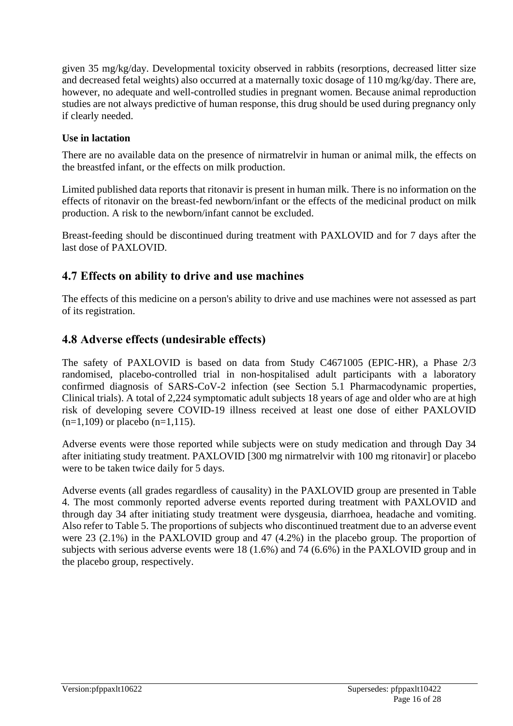given 35 mg/kg/day. Developmental toxicity observed in rabbits (resorptions, decreased litter size and decreased fetal weights) also occurred at a maternally toxic dosage of 110 mg/kg/day. There are, however, no adequate and well-controlled studies in pregnant women. Because animal reproduction studies are not always predictive of human response, this drug should be used during pregnancy only if clearly needed.

# **Use in lactation**

There are no available data on the presence of nirmatrelvir in human or animal milk, the effects on the breastfed infant, or the effects on milk production.

Limited published data reports that ritonavir is present in human milk. There is no information on the effects of ritonavir on the breast-fed newborn/infant or the effects of the medicinal product on milk production. A risk to the newborn/infant cannot be excluded.

Breast-feeding should be discontinued during treatment with PAXLOVID and for 7 days after the last dose of PAXLOVID.

# **4.7 Effects on ability to drive and use machines**

The effects of this medicine on a person's ability to drive and use machines were not assessed as part of its registration.

# **4.8 Adverse effects (undesirable effects)**

The safety of PAXLOVID is based on data from Study C4671005 (EPIC-HR), a Phase 2/3 randomised, placebo-controlled trial in non-hospitalised adult participants with a laboratory confirmed diagnosis of SARS-CoV-2 infection (see Section 5.1 Pharmacodynamic properties, Clinical trials). A total of 2,224 symptomatic adult subjects 18 years of age and older who are at high risk of developing severe COVID-19 illness received at least one dose of either PAXLOVID  $(n=1,109)$  or placebo  $(n=1,115)$ .

Adverse events were those reported while subjects were on study medication and through Day 34 after initiating study treatment. PAXLOVID [300 mg nirmatrelvir with 100 mg ritonavir] or placebo were to be taken twice daily for 5 days.

Adverse events (all grades regardless of causality) in the PAXLOVID group are presented in Table 4. The most commonly reported adverse events reported during treatment with PAXLOVID and through day 34 after initiating study treatment were dysgeusia, diarrhoea, headache and vomiting. Also refer to Table 5. The proportions of subjects who discontinued treatment due to an adverse event were 23 (2.1%) in the PAXLOVID group and 47 (4.2%) in the placebo group. The proportion of subjects with serious adverse events were 18 (1.6%) and 74 (6.6%) in the PAXLOVID group and in the placebo group, respectively.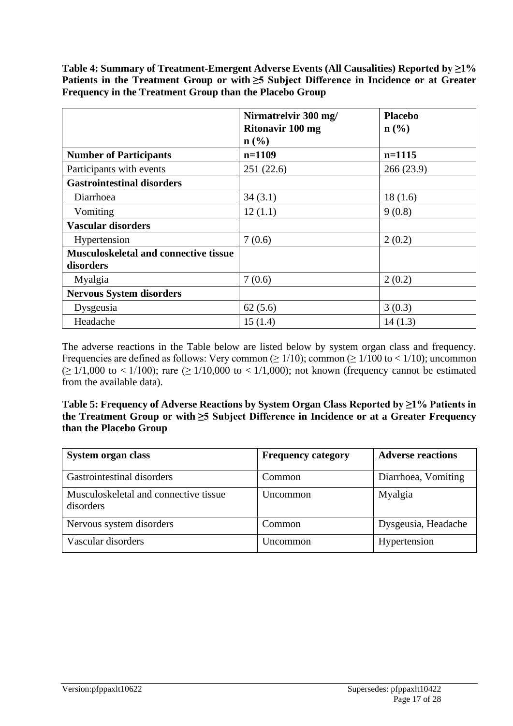**Table 4: Summary of Treatment-Emergent Adverse Events (All Causalities) Reported by ≥1% Patients in the Treatment Group or with ≥5 Subject Difference in Incidence or at Greater Frequency in the Treatment Group than the Placebo Group**

|                                              | Nirmatrelvir 300 mg/    | <b>Placebo</b>              |
|----------------------------------------------|-------------------------|-----------------------------|
|                                              | <b>Ritonavir 100 mg</b> | $n\left(\frac{0}{0}\right)$ |
|                                              | $\mathbf{n}(\%)$        |                             |
| <b>Number of Participants</b>                | $n=1109$                | $n=1115$                    |
| Participants with events                     | 251(22.6)               | 266(23.9)                   |
| <b>Gastrointestinal disorders</b>            |                         |                             |
| Diarrhoea                                    | 34(3.1)                 | 18(1.6)                     |
| Vomiting                                     | 12(1.1)                 | 9(0.8)                      |
| <b>Vascular disorders</b>                    |                         |                             |
| Hypertension                                 | 7(0.6)                  | 2(0.2)                      |
| <b>Musculoskeletal and connective tissue</b> |                         |                             |
| disorders                                    |                         |                             |
| Myalgia                                      | 7(0.6)                  | 2(0.2)                      |
| <b>Nervous System disorders</b>              |                         |                             |
| Dysgeusia                                    | 62(5.6)                 | 3(0.3)                      |
| Headache                                     | 15(1.4)                 | 14(1.3)                     |

The adverse reactions in the Table below are listed below by system organ class and frequency. Frequencies are defined as follows: Very common ( $\geq 1/10$ ); common ( $\geq 1/100$  to < 1/10); uncommon  $(\geq 1/1,000 \text{ to } 1/100)$ ; rare  $(\geq 1/10,000 \text{ to } 1/1,000)$ ; not known (frequency cannot be estimated from the available data).

**Table 5: Frequency of Adverse Reactions by System Organ Class Reported by ≥1% Patients in the Treatment Group or with ≥5 Subject Difference in Incidence or at a Greater Frequency than the Placebo Group**

| <b>System organ class</b>                          | <b>Frequency category</b> | <b>Adverse reactions</b> |
|----------------------------------------------------|---------------------------|--------------------------|
| Gastrointestinal disorders                         | Common                    | Diarrhoea, Vomiting      |
| Musculoskeletal and connective tissue<br>disorders | Uncommon                  | Myalgia                  |
| Nervous system disorders                           | Common                    | Dysgeusia, Headache      |
| Vascular disorders                                 | <b>Uncommon</b>           | Hypertension             |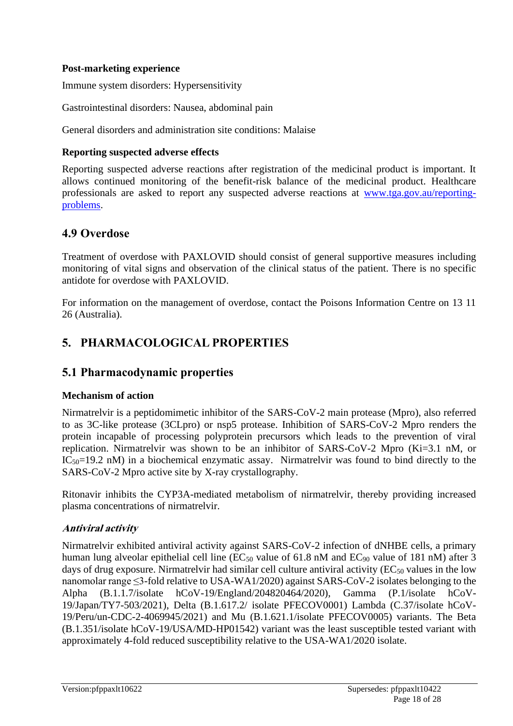### **Post-marketing experience**

Immune system disorders: Hypersensitivity

Gastrointestinal disorders: Nausea, abdominal pain

General disorders and administration site conditions: Malaise

#### **Reporting suspected adverse effects**

Reporting suspected adverse reactions after registration of the medicinal product is important. It allows continued monitoring of the benefit-risk balance of the medicinal product. Healthcare professionals are asked to report any suspected adverse reactions at [www.tga.gov.au/reporting](http://www.tga.gov.au/reporting-problems)[problems.](http://www.tga.gov.au/reporting-problems)

# **4.9 Overdose**

Treatment of overdose with PAXLOVID should consist of general supportive measures including monitoring of vital signs and observation of the clinical status of the patient. There is no specific antidote for overdose with PAXLOVID.

For information on the management of overdose, contact the Poisons Information Centre on 13 11 26 (Australia).

# **5. PHARMACOLOGICAL PROPERTIES**

# **5.1 Pharmacodynamic properties**

#### **Mechanism of action**

Nirmatrelvir is a peptidomimetic inhibitor of the SARS-CoV-2 main protease (Mpro), also referred to as 3C-like protease (3CLpro) or nsp5 protease. Inhibition of SARS-CoV-2 Mpro renders the protein incapable of processing polyprotein precursors which leads to the prevention of viral replication. Nirmatrelvir was shown to be an inhibitor of SARS-CoV-2 Mpro (Ki=3.1 nM, or  $IC_{50}=19.2$  nM) in a biochemical enzymatic assay. Nirmatrelvir was found to bind directly to the SARS-CoV-2 Mpro active site by X-ray crystallography.

Ritonavir inhibits the CYP3A-mediated metabolism of nirmatrelvir, thereby providing increased plasma concentrations of nirmatrelvir.

# **Antiviral activity**

Nirmatrelvir exhibited antiviral activity against SARS-CoV-2 infection of dNHBE cells, a primary human lung alveolar epithelial cell line ( $EC_{50}$  value of 61.8 nM and  $EC_{90}$  value of 181 nM) after 3 days of drug exposure. Nirmatrelvir had similar cell culture antiviral activity ( $EC_{50}$  values in the low nanomolar range ≤3-fold relative to USA-WA1/2020) against SARS-CoV-2 isolates belonging to the Alpha (B.1.1.7/isolate hCoV-19/England/204820464/2020), Gamma (P.1/isolate hCoV-19/Japan/TY7-503/2021), Delta (B.1.617.2/ isolate PFECOV0001) Lambda (C.37/isolate hCoV-19/Peru/un-CDC-2-4069945/2021) and Mu (B.1.621.1/isolate PFECOV0005) variants. The Beta (B.1.351/isolate hCoV-19/USA/MD-HP01542) variant was the least susceptible tested variant with approximately 4-fold reduced susceptibility relative to the USA-WA1/2020 isolate.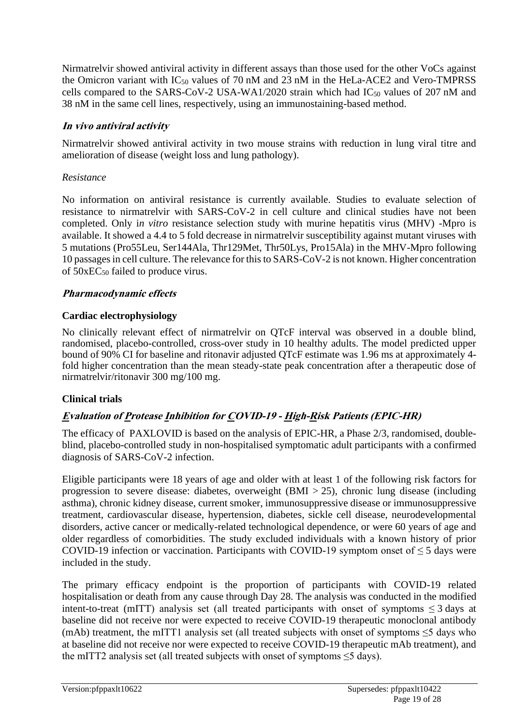Nirmatrelvir showed antiviral activity in different assays than those used for the other VoCs against the Omicron variant with  $IC_{50}$  values of 70 nM and 23 nM in the HeLa-ACE2 and Vero-TMPRSS cells compared to the SARS-CoV-2 USA-WA1/2020 strain which had  $IC_{50}$  values of 207 nM and 38 nM in the same cell lines, respectively, using an immunostaining-based method.

### **In vivo antiviral activity**

Nirmatrelvir showed antiviral activity in two mouse strains with reduction in lung viral titre and amelioration of disease (weight loss and lung pathology).

#### *Resistance*

No information on antiviral resistance is currently available. Studies to evaluate selection of resistance to nirmatrelvir with SARS-CoV-2 in cell culture and clinical studies have not been completed. Only i*n vitro* resistance selection study with murine hepatitis virus (MHV) -Mpro is available. It showed a 4.4 to 5 fold decrease in nirmatrelvir susceptibility against mutant viruses with 5 mutations (Pro55Leu, Ser144Ala, Thr129Met, Thr50Lys, Pro15Ala) in the MHV-Mpro following 10 passages in cell culture. The relevance for this to SARS-CoV-2 is not known. Higher concentration of  $50 \times EC_{50}$  failed to produce virus.

### **Pharmacodynamic effects**

### **Cardiac electrophysiology**

No clinically relevant effect of nirmatrelvir on QTcF interval was observed in a double blind, randomised, placebo-controlled, cross-over study in 10 healthy adults. The model predicted upper bound of 90% CI for baseline and ritonavir adjusted QTcF estimate was 1.96 ms at approximately 4 fold higher concentration than the mean steady-state peak concentration after a therapeutic dose of nirmatrelvir/ritonavir 300 mg/100 mg.

# **Clinical trials**

# **Evaluation of Protease Inhibition for COVID-19 - High-Risk Patients (EPIC-HR)**

The efficacy of PAXLOVID is based on the analysis of EPIC-HR, a Phase 2/3, randomised, doubleblind, placebo-controlled study in non-hospitalised symptomatic adult participants with a confirmed diagnosis of SARS-CoV-2 infection.

Eligible participants were 18 years of age and older with at least 1 of the following risk factors for progression to severe disease: diabetes, overweight (BMI > 25), chronic lung disease (including asthma), chronic kidney disease, current smoker, immunosuppressive disease or immunosuppressive treatment, cardiovascular disease, hypertension, diabetes, sickle cell disease, neurodevelopmental disorders, active cancer or medically-related technological dependence, or were 60 years of age and older regardless of comorbidities. The study excluded individuals with a known history of prior COVID-19 infection or vaccination. Participants with COVID-19 symptom onset of  $\leq 5$  days were included in the study.

The primary efficacy endpoint is the proportion of participants with COVID-19 related hospitalisation or death from any cause through Day 28. The analysis was conducted in the modified intent-to-treat (mITT) analysis set (all treated participants with onset of symptoms  $\leq$  3 days at baseline did not receive nor were expected to receive COVID-19 therapeutic monoclonal antibody (mAb) treatment, the mITT1 analysis set (all treated subjects with onset of symptoms  $\leq$ 5 days who at baseline did not receive nor were expected to receive COVID-19 therapeutic mAb treatment), and the mITT2 analysis set (all treated subjects with onset of symptoms ≤5 days).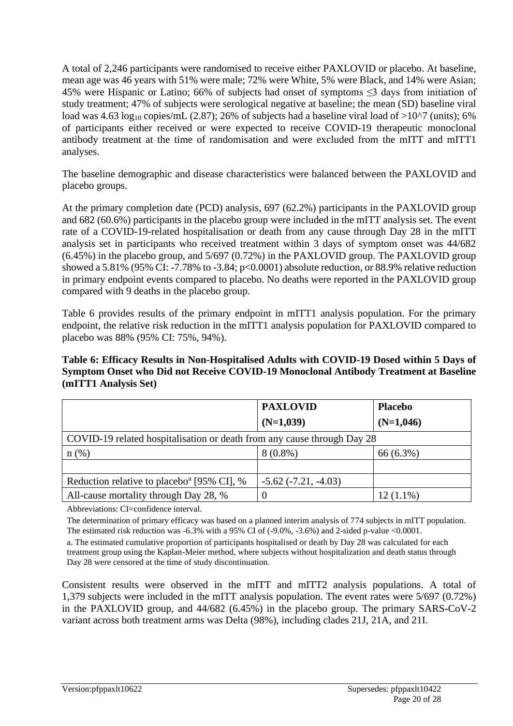A total of 2,246 participants were randomised to receive either PAXLOVID or placebo. At baseline, mean age was 46 years with 51% were male; 72% were White, 5% were Black, and 14% were Asian; 45% were Hispanic or Latino; 66% of subjects had onset of symptoms ≤3 days from initiation of study treatment; 47% of subjects were serological negative at baseline; the mean (SD) baseline viral load was 4.63 log<sub>10</sub> copies/mL (2.87); 26% of subjects had a baseline viral load of >10^7 (units); 6% of participants either received or were expected to receive COVID-19 therapeutic monoclonal antibody treatment at the time of randomisation and were excluded from the mITT and mITT1 analyses.

The baseline demographic and disease characteristics were balanced between the PAXLOVID and placebo groups.

At the primary completion date (PCD) analysis, 697 (62.2%) participants in the PAXLOVID group and 682 (60.6%) participants in the placebo group were included in the mITT analysis set. The event rate of a COVID-19-related hospitalisation or death from any cause through Day 28 in the mITT analysis set in participants who received treatment within 3 days of symptom onset was 44/682 (6.45%) in the placebo group, and 5/697 (0.72%) in the PAXLOVID group. The PAXLOVID group showed a 5.81% (95% CI: -7.78% to -3.84; p<0.0001) absolute reduction, or 88.9% relative reduction in primary endpoint events compared to placebo. No deaths were reported in the PAXLOVID group compared with 9 deaths in the placebo group.

Table 6 provides results of the primary endpoint in mITT1 analysis population. For the primary endpoint, the relative risk reduction in the mITT1 analysis population for PAXLOVID compared to placebo was 88% (95% CI: 75%, 94%).

#### **Table 6: Efficacy Results in Non-Hospitalised Adults with COVID-19 Dosed within 5 Days of Symptom Onset who Did not Receive COVID-19 Monoclonal Antibody Treatment at Baseline (mITT1 Analysis Set)**

|                                                                         | <b>PAXLOVID</b>          | <b>Placebo</b> |  |
|-------------------------------------------------------------------------|--------------------------|----------------|--|
|                                                                         | $(N=1,039)$              | $(N=1,046)$    |  |
| COVID-19 related hospitalisation or death from any cause through Day 28 |                          |                |  |
| $n$ (%)                                                                 | $8(0.8\%)$               | 66 (6.3%)      |  |
|                                                                         |                          |                |  |
| Reduction relative to placebo <sup>a</sup> [95% CI], %                  | $-5.62$ $(-7.21, -4.03)$ |                |  |
| All-cause mortality through Day 28, %                                   |                          | $12(1.1\%)$    |  |

Abbreviations: CI=confidence interval.

The determination of primary efficacy was based on a planned interim analysis of 774 subjects in mITT population. The estimated risk reduction was -6.3% with a 95% CI of (-9.0%, -3.6%) and 2-sided p-value <0.0001.

a. The estimated cumulative proportion of participants hospitalised or death by Day 28 was calculated for each treatment group using the Kaplan-Meier method, where subjects without hospitalization and death status through Day 28 were censored at the time of study discontinuation.

Consistent results were observed in the mITT and mITT2 analysis populations. A total of 1,379 subjects were included in the mITT analysis population. The event rates were 5/697 (0.72%) in the PAXLOVID group, and 44/682 (6.45%) in the placebo group. The primary SARS-CoV-2 variant across both treatment arms was Delta (98%), including clades 21J, 21A, and 21I.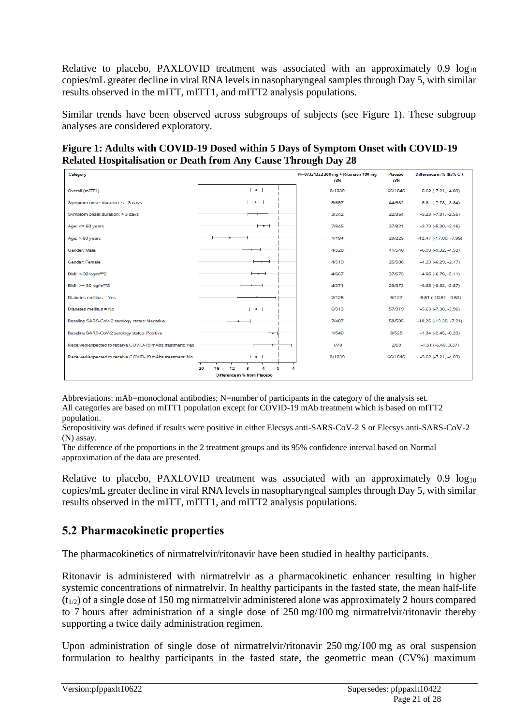Relative to placebo, PAXLOVID treatment was associated with an approximately 0.9 log<sub>10</sub> copies/mL greater decline in viral RNA levels in nasopharyngeal samples through Day 5, with similar results observed in the mITT, mITT1, and mITT2 analysis populations.

Similar trends have been observed across subgroups of subjects (see Figure 1). These subgroup analyses are considered exploratory.

**Figure 1: Adults with COVID-19 Dosed within 5 Days of Symptom Onset with COVID-19 Related Hospitalisation or Death from Any Cause Through Day 28**

| Category                                                  |                          | PF-07321332 300 mg + Ritonavir 100 mg<br>n/N | Placebo<br>n/N | Difference in % (95% CI)        |
|-----------------------------------------------------------|--------------------------|----------------------------------------------|----------------|---------------------------------|
| Overall (mITT1)                                           | $\overline{\phantom{0}}$ | 8/1039                                       | 66/1046        | $-5.62$ $(-7.21, -4.03)$        |
| Symptom onset duration: <= 3 days                         | $-$                      | 5/697                                        | 44/682         | $-5.81$ $(-7.78, -3.84)$        |
| Symptom onset duration: > 3 days                          |                          | 3/342                                        | 22/364         | $-5.23$ $(-7.91, -2.55)$        |
| Age: $<= 60$ years                                        | $-\bullet$               | 7/845                                        | 37/821         | $-3.73$ $(-5.30, -2.16)$        |
| Age: > 60 years                                           |                          | 1/194                                        | 29/225         | $-12.47$ ( $-17.00$ , $-7.95$ ) |
| Gender: Male                                              |                          | 4/520                                        | 41/540         | $-6.93(-9.32, -4.53)$           |
| Gender: Female                                            |                          | 4/519                                        | 25/506         | $-4.23(-6.29, -2.17)$           |
| BMI: < 30 kg/m <sup>**</sup> 2                            |                          | 4/667                                        | 37/673         | $-4.95(-6.79,-3.11)$            |
| BMI: >= 30 kg/m**2                                        |                          | 4/371                                        | 29/373         | $-6.85(-9.82, -3.87)$           |
| Diabetes mellitus = Yes                                   |                          | 2/125                                        | 9/127          | $-5.51$ $(-10.51, -0.52)$       |
| Diabetes mellitus = No                                    | —                        | 6/913                                        | 57/919         | $-5.63$ $(-7.30, -3.96)$        |
| Baseline SARS-CoV-2 serology status: Negative             |                          | 7/487                                        | 58/505         | $-10.25(-13.28, -7.21)$         |
| Baseline SARS-CoV-2 serology status: Positive             | ⊢                        | 1/540                                        | 8/528          | $-1.34$ $(-2.45, -0.23)$        |
| Received/expected to receive COVID-19 mAbs treatment: Yes |                          | 1/70                                         | 2/69           | $-1.51(-6.40, 3.37)$            |
| Received/expected to receive COVID-19 mAbs treatment: No  | $\overline{\phantom{0}}$ | 8/1039                                       | 66/1046        | $-5.62$ $(-7.21, -4.03)$        |
| $-20$<br>$-16$<br>$-12$<br>-R                             |                          |                                              |                |                                 |
| Difference in % from Placebo                              |                          |                                              |                |                                 |

Abbreviations: mAb=monoclonal antibodies; N=number of participants in the category of the analysis set. All categories are based on mITT1 population except for COVID-19 mAb treatment which is based on mITT2 population.

Seropositivity was defined if results were positive in either Elecsys anti-SARS-CoV-2 S or Elecsys anti-SARS-CoV-2 (N) assay.

The difference of the proportions in the 2 treatment groups and its 95% confidence interval based on Normal approximation of the data are presented.

Relative to placebo, PAXLOVID treatment was associated with an approximately  $0.9 \log_{10}$ copies/mL greater decline in viral RNA levels in nasopharyngeal samples through Day 5, with similar results observed in the mITT, mITT1, and mITT2 analysis populations.

# **5.2 Pharmacokinetic properties**

The pharmacokinetics of nirmatrelvir/ritonavir have been studied in healthy participants.

Ritonavir is administered with nirmatrelvir as a pharmacokinetic enhancer resulting in higher systemic concentrations of nirmatrelvir. In healthy participants in the fasted state, the mean half-life  $(t_{1/2})$  of a single dose of 150 mg nirmatrelvir administered alone was approximately 2 hours compared to 7 hours after administration of a single dose of 250 mg/100 mg nirmatrelvir/ritonavir thereby supporting a twice daily administration regimen.

Upon administration of single dose of nirmatrelvir/ritonavir 250 mg/100 mg as oral suspension formulation to healthy participants in the fasted state, the geometric mean (CV%) maximum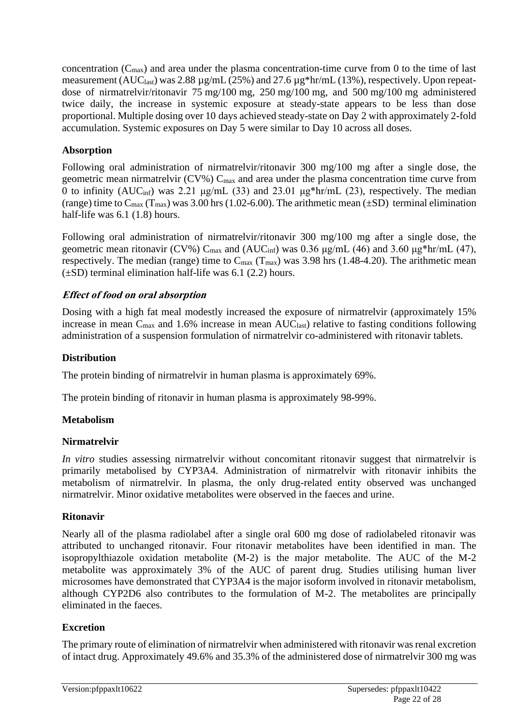concentration  $(C_{\text{max}})$  and area under the plasma concentration-time curve from 0 to the time of last measurement (AUC<sub>last</sub>) was 2.88  $\mu$ g/mL (25%) and 27.6  $\mu$ g\*hr/mL (13%), respectively. Upon repeatdose of nirmatrelvir/ritonavir 75 mg/100 mg, 250 mg/100 mg, and 500 mg/100 mg administered twice daily, the increase in systemic exposure at steady-state appears to be less than dose proportional. Multiple dosing over 10 days achieved steady-state on Day 2 with approximately 2-fold accumulation. Systemic exposures on Day 5 were similar to Day 10 across all doses.

### **Absorption**

Following oral administration of nirmatrelvir/ritonavir 300 mg/100 mg after a single dose, the geometric mean nirmatrelvir ( $CV\%$ )  $C_{max}$  and area under the plasma concentration time curve from 0 to infinity ( $AUC_{\text{inf}}$ ) was 2.21 μg/mL (33) and 23.01 μg\*hr/mL (23), respectively. The median (range) time to  $C_{\text{max}}$  (T<sub>max</sub>) was 3.00 hrs (1.02-6.00). The arithmetic mean ( $\pm$ SD) terminal elimination half-life was 6.1 (1.8) hours.

Following oral administration of nirmatrelvir/ritonavir 300 mg/100 mg after a single dose, the geometric mean ritonavir (CV%) C<sub>max</sub> and (AUC<sub>inf</sub>) was 0.36 μg/mL (46) and 3.60 μg\*hr/mL (47), respectively. The median (range) time to  $C_{\text{max}}$  (T<sub>max</sub>) was 3.98 hrs (1.48-4.20). The arithmetic mean (±SD) terminal elimination half-life was 6.1 (2.2) hours.

### **Effect of food on oral absorption**

Dosing with a high fat meal modestly increased the exposure of nirmatrelvir (approximately 15% increase in mean C<sub>max</sub> and 1.6% increase in mean AUC<sub>last</sub>) relative to fasting conditions following administration of a suspension formulation of nirmatrelvir co-administered with ritonavir tablets.

### **Distribution**

The protein binding of nirmatrelvir in human plasma is approximately 69%.

The protein binding of ritonavir in human plasma is approximately 98-99%.

# **Metabolism**

#### **Nirmatrelvir**

*In vitro* studies assessing nirmatrelvir without concomitant ritonavir suggest that nirmatrelvir is primarily metabolised by CYP3A4. Administration of nirmatrelvir with ritonavir inhibits the metabolism of nirmatrelvir. In plasma, the only drug-related entity observed was unchanged nirmatrelvir. Minor oxidative metabolites were observed in the faeces and urine.

#### **Ritonavir**

Nearly all of the plasma radiolabel after a single oral 600 mg dose of radiolabeled ritonavir was attributed to unchanged ritonavir. Four ritonavir metabolites have been identified in man. The isopropylthiazole oxidation metabolite (M-2) is the major metabolite. The AUC of the M-2 metabolite was approximately 3% of the AUC of parent drug. Studies utilising human liver microsomes have demonstrated that CYP3A4 is the major isoform involved in ritonavir metabolism, although CYP2D6 also contributes to the formulation of M-2. The metabolites are principally eliminated in the faeces.

# **Excretion**

The primary route of elimination of nirmatrelvir when administered with ritonavir was renal excretion of intact drug. Approximately 49.6% and 35.3% of the administered dose of nirmatrelvir 300 mg was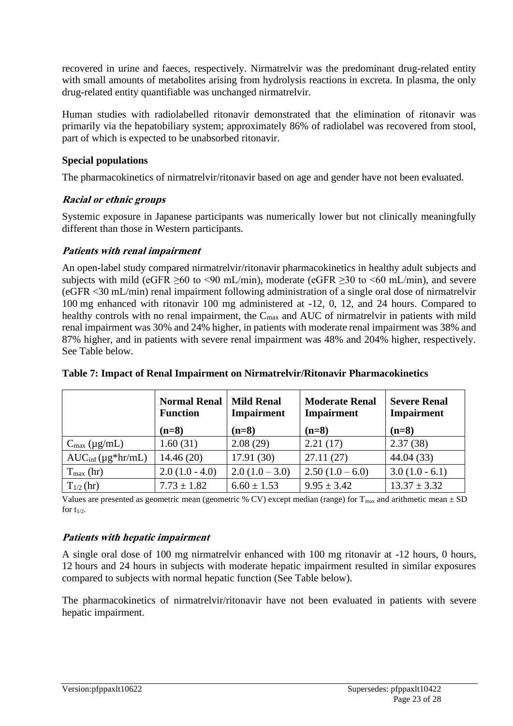recovered in urine and faeces, respectively. Nirmatrelvir was the predominant drug-related entity with small amounts of metabolites arising from hydrolysis reactions in excreta. In plasma, the only drug-related entity quantifiable was unchanged nirmatrelvir.

Human studies with radiolabelled ritonavir demonstrated that the elimination of ritonavir was primarily via the hepatobiliary system; approximately 86% of radiolabel was recovered from stool, part of which is expected to be unabsorbed ritonavir.

#### **Special populations**

The pharmacokinetics of nirmatrelvir/ritonavir based on age and gender have not been evaluated.

# **Racial or ethnic groups**

Systemic exposure in Japanese participants was numerically lower but not clinically meaningfully different than those in Western participants.

### **Patients with renal impairment**

An open-label study compared nirmatrelvir/ritonavir pharmacokinetics in healthy adult subjects and subjects with mild (eGFR  $>60$  to  $\leq 90$  mL/min), moderate (eGFR  $>30$  to  $\leq 60$  mL/min), and severe (eGFR <30 mL/min) renal impairment following administration of a single oral dose of nirmatrelvir 100 mg enhanced with ritonavir 100 mg administered at -12, 0, 12, and 24 hours. Compared to healthy controls with no renal impairment, the  $C_{\text{max}}$  and AUC of nirmatrelvir in patients with mild renal impairment was 30% and 24% higher, in patients with moderate renal impairment was 38% and 87% higher, and in patients with severe renal impairment was 48% and 204% higher, respectively. See Table below.

|                                 | <b>Normal Renal</b><br><b>Function</b><br>$(n=8)$ | <b>Mild Renal</b><br><b>Impairment</b><br>$(n=8)$ | <b>Moderate Renal</b><br><b>Impairment</b><br>$(n=8)$ | <b>Severe Renal</b><br>Impairment<br>$(n=8)$ |
|---------------------------------|---------------------------------------------------|---------------------------------------------------|-------------------------------------------------------|----------------------------------------------|
| $C_{\text{max}}$ (µg/mL)        | 1.60(31)                                          | 2.08(29)                                          | 2.21(17)                                              | 2.37(38)                                     |
| $AUC_{\text{inf}}(\mu g*hr/mL)$ | 14.46(20)                                         | 17.91(30)                                         | 27.11(27)                                             | 44.04(33)                                    |
| $T_{\text{max}}$ (hr)           | $2.0(1.0 - 4.0)$                                  | $2.0(1.0-3.0)$                                    | $2.50(1.0-6.0)$                                       | $3.0(1.0 - 6.1)$                             |
| $T_{1/2}$ (hr)                  | $7.73 \pm 1.82$                                   | $6.60 \pm 1.53$                                   | $9.95 \pm 3.42$                                       | $13.37 \pm 3.32$                             |

#### **Table 7: Impact of Renal Impairment on Nirmatrelvir/Ritonavir Pharmacokinetics**

Values are presented as geometric mean (geometric % CV) except median (range) for  $T_{max}$  and arithmetic mean  $\pm$  SD for  $t_{1/2}$ .

# **Patients with hepatic impairment**

A single oral dose of 100 mg nirmatrelvir enhanced with 100 mg ritonavir at -12 hours, 0 hours, 12 hours and 24 hours in subjects with moderate hepatic impairment resulted in similar exposures compared to subjects with normal hepatic function (See Table below).

The pharmacokinetics of nirmatrelvir/ritonavir have not been evaluated in patients with severe hepatic impairment.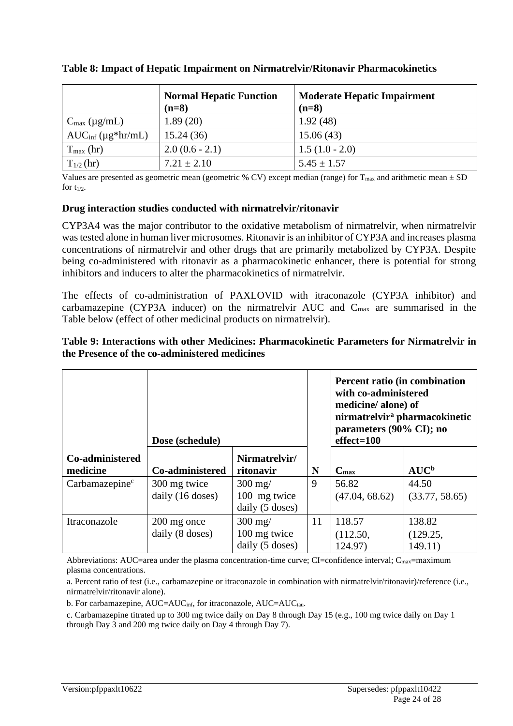|                                    | <b>Normal Hepatic Function</b><br>$(n=8)$ | <b>Moderate Hepatic Impairment</b><br>$(n=8)$ |
|------------------------------------|-------------------------------------------|-----------------------------------------------|
| $C_{\text{max}} (\mu g/mL)$        | 1.89(20)                                  | 1.92(48)                                      |
| $AUC_{\text{inf}} (\mu g^* hr/mL)$ | 15.24(36)                                 | 15.06(43)                                     |
| $T_{\text{max}}$ (hr)              | $2.0(0.6 - 2.1)$                          | $1.5(1.0 - 2.0)$                              |
| $T_{1/2}$ (hr)                     | $7.21 \pm 2.10$                           | $5.45 \pm 1.57$                               |

#### **Table 8: Impact of Hepatic Impairment on Nirmatrelvir/Ritonavir Pharmacokinetics**

Values are presented as geometric mean (geometric % CV) except median (range) for  $T_{\text{max}}$  and arithmetic mean  $\pm$  SD for  $t_{1/2}$ .

#### **Drug interaction studies conducted with nirmatrelvir/ritonavir**

CYP3A4 was the major contributor to the oxidative metabolism of nirmatrelvir, when nirmatrelvir was tested alone in human liver microsomes. Ritonavir is an inhibitor of CYP3A and increases plasma concentrations of nirmatrelvir and other drugs that are primarily metabolized by CYP3A. Despite being co-administered with ritonavir as a pharmacokinetic enhancer, there is potential for strong inhibitors and inducers to alter the pharmacokinetics of nirmatrelvir.

The effects of co-administration of PAXLOVID with itraconazole (CYP3A inhibitor) and carbamazepine (CYP3A inducer) on the nirmatrelvir AUC and  $C_{\text{max}}$  are summarised in the Table below (effect of other medicinal products on nirmatrelvir).

|                             | Dose (schedule)                  |                                                       |    | Percent ratio (in combination<br>with co-administered<br>medicine/alone) of<br>parameters (90% CI); no<br>$effect = 100$ | nirmatrelvir <sup>a</sup> pharmacokinetic |
|-----------------------------|----------------------------------|-------------------------------------------------------|----|--------------------------------------------------------------------------------------------------------------------------|-------------------------------------------|
| Co-administered<br>medicine | Co-administered                  | Nirmatrelvir/<br>ritonavir                            | N  | $C_{\text{max}}$                                                                                                         | $AUC^b$                                   |
| Carbamazepine <sup>c</sup>  | 300 mg twice<br>daily (16 doses) | $300 \text{ mg}$<br>100 mg twice<br>daily $(5$ doses) | 9  | 56.82<br>(47.04, 68.62)                                                                                                  | 44.50<br>(33.77, 58.65)                   |
| Itraconazole                | 200 mg once<br>daily (8 doses)   | $300$ mg/<br>100 mg twice<br>daily (5 doses)          | 11 | 118.57<br>(112.50,<br>124.97)                                                                                            | 138.82<br>(129.25,<br>149.11)             |

#### **Table 9: Interactions with other Medicines: Pharmacokinetic Parameters for Nirmatrelvir in the Presence of the co-administered medicines**

Abbreviations: AUC=area under the plasma concentration-time curve; CI=confidence interval;  $C_{\text{max}}$ =maximum plasma concentrations.

a. Percent ratio of test (i.e., carbamazepine or itraconazole in combination with nirmatrelvir/ritonavir)/reference (i.e., nirmatrelvir/ritonavir alone).

b. For carbamazepine,  $AUC=AUC_{inf}$ , for itraconazole,  $AUC=AUC_{tau}$ .

c. Carbamazepine titrated up to 300 mg twice daily on Day 8 through Day 15 (e.g., 100 mg twice daily on Day 1 through Day 3 and 200 mg twice daily on Day 4 through Day 7).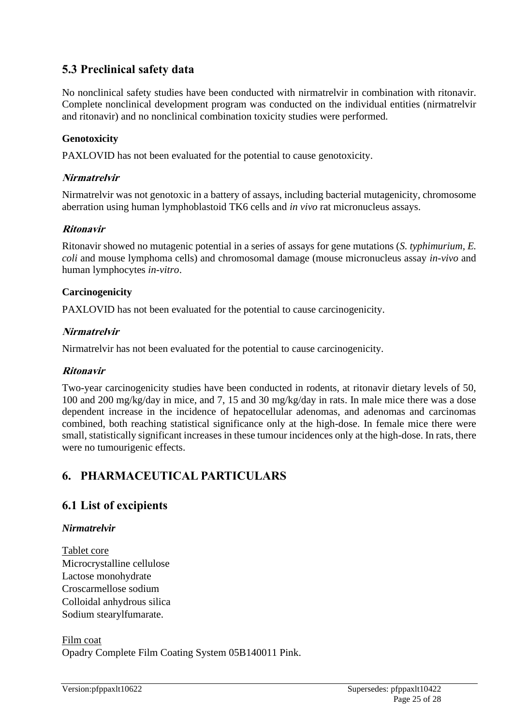# **5.3 Preclinical safety data**

No nonclinical safety studies have been conducted with nirmatrelvir in combination with ritonavir. Complete nonclinical development program was conducted on the individual entities (nirmatrelvir and ritonavir) and no nonclinical combination toxicity studies were performed.

### **Genotoxicity**

PAXLOVID has not been evaluated for the potential to cause genotoxicity.

#### **Nirmatrelvir**

Nirmatrelvir was not genotoxic in a battery of assays, including bacterial mutagenicity, chromosome aberration using human lymphoblastoid TK6 cells and *in vivo* rat micronucleus assays.

#### **Ritonavir**

Ritonavir showed no mutagenic potential in a series of assays for gene mutations (*S. typhimurium, E. coli* and mouse lymphoma cells) and chromosomal damage (mouse micronucleus assay *in-vivo* and human lymphocytes *in-vitro*.

### **Carcinogenicity**

PAXLOVID has not been evaluated for the potential to cause carcinogenicity.

#### **Nirmatrelvir**

Nirmatrelvir has not been evaluated for the potential to cause carcinogenicity.

#### **Ritonavir**

Two-year carcinogenicity studies have been conducted in rodents, at ritonavir dietary levels of 50, 100 and 200 mg/kg/day in mice, and 7, 15 and 30 mg/kg/day in rats. In male mice there was a dose dependent increase in the incidence of hepatocellular adenomas, and adenomas and carcinomas combined, both reaching statistical significance only at the high-dose. In female mice there were small, statistically significant increases in these tumour incidences only at the high-dose. In rats, there were no tumourigenic effects.

# **6. PHARMACEUTICAL PARTICULARS**

# **6.1 List of excipients**

#### *Nirmatrelvir*

Tablet core Microcrystalline cellulose Lactose monohydrate Croscarmellose sodium Colloidal anhydrous silica Sodium stearylfumarate.

Film coat Opadry Complete Film Coating System 05B140011 Pink.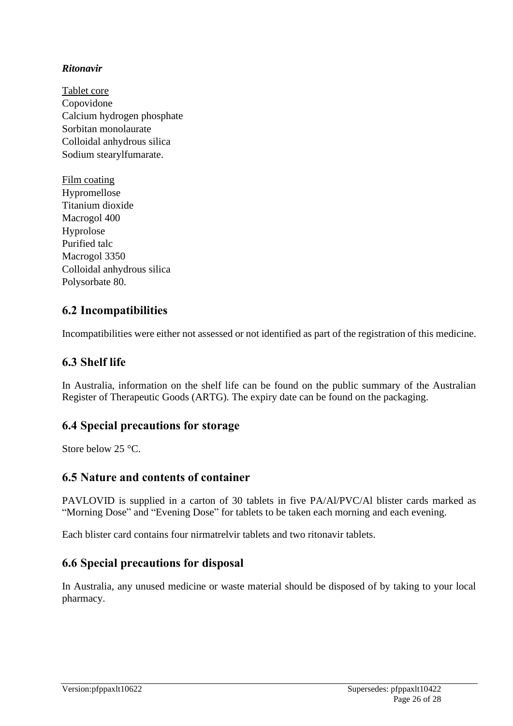### *Ritonavir*

Tablet core Copovidone Calcium hydrogen phosphate Sorbitan monolaurate Colloidal anhydrous silica Sodium stearylfumarate.

Film coating Hypromellose Titanium dioxide Macrogol 400 Hyprolose Purified talc Macrogol 3350 Colloidal anhydrous silica Polysorbate 80.

# **6.2 Incompatibilities**

Incompatibilities were either not assessed or not identified as part of the registration of this medicine.

# **6.3 Shelf life**

In Australia, information on the shelf life can be found on the public summary of the Australian Register of Therapeutic Goods (ARTG). The expiry date can be found on the packaging.

# **6.4 Special precautions for storage**

Store below 25 °C.

# **6.5 Nature and contents of container**

PAVLOVID is supplied in a carton of 30 tablets in five PA/Al/PVC/Al blister cards marked as "Morning Dose" and "Evening Dose" for tablets to be taken each morning and each evening.

Each blister card contains four nirmatrelvir tablets and two ritonavir tablets.

# **6.6 Special precautions for disposal**

In Australia, any unused medicine or waste material should be disposed of by taking to your local pharmacy.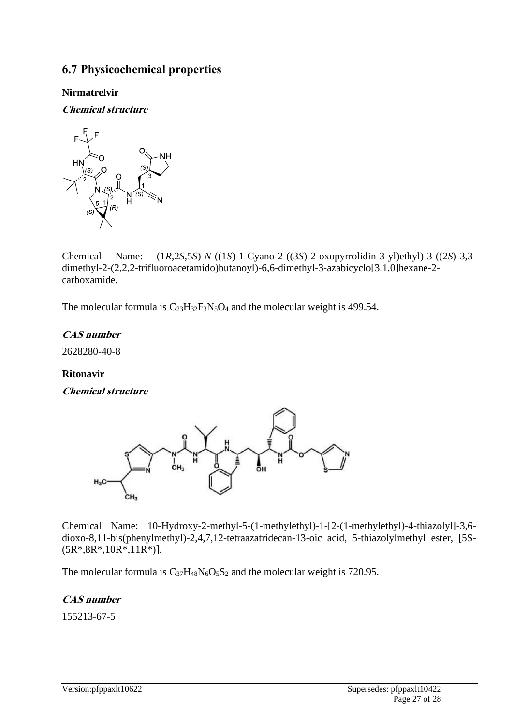# **6.7 Physicochemical properties**

### **Nirmatrelvir**

**Chemical structure** 



Chemical Name: (1*R*,2*S*,5*S*)-*N*-((1*S*)-1-Cyano-2-((3*S*)-2-oxopyrrolidin-3-yl)ethyl)-3-((2*S*)-3,3 dimethyl-2-(2,2,2-trifluoroacetamido)butanoyl)-6,6-dimethyl-3-azabicyclo[3.1.0]hexane-2 carboxamide.

The molecular formula is  $C_{23}H_{32}F_3N_5O_4$  and the molecular weight is 499.54.

# **CAS number**

2628280-40-8

#### **Ritonavir**

**Chemical structure** 



Chemical Name: 10-Hydroxy-2-methyl-5-(1-methylethyl)-1-[2-(1-methylethyl)-4-thiazolyl]-3,6 dioxo-8,11-bis(phenylmethyl)-2,4,7,12-tetraazatridecan-13-oic acid, 5-thiazolylmethyl ester, [5S- (5R\*,8R\*,10R\*,11R\*)].

The molecular formula is  $C_{37}H_{48}N_6O_5S_2$  and the molecular weight is 720.95.

# **CAS number**

155213-67-5